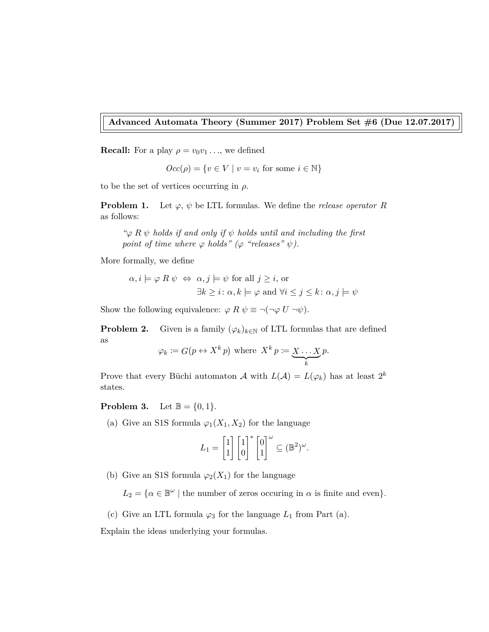**Advanced Automata Theory (Summer 2017) Problem Set #6 (Due 12.07.2017)**

**Recall:** For a play  $\rho = v_0 v_1 \ldots$ , we defined

$$
Occ(\rho) = \{ v \in V \mid v = v_i \text{ for some } i \in \mathbb{N} \}
$$

to be the set of vertices occurring in *ρ*.

**Problem 1.** Let  $\varphi$ ,  $\psi$  be LTL formulas. We define the *release operator R* as follows:

*"ϕ R ψ holds if and only if ψ holds until and including the first point of time where*  $\varphi$  *holds*" ( $\varphi$  "releases"  $\psi$ ).

More formally, we define

$$
\alpha, i \models \varphi \; R \; \psi \; \Leftrightarrow \; \alpha, j \models \psi \text{ for all } j \geq i, \text{ or}
$$

$$
\exists k \geq i \colon \alpha, k \models \varphi \text{ and } \forall i \leq j \leq k \colon \alpha, j \models \psi
$$

Show the following equivalence:  $\varphi R \psi \equiv \neg(\neg \varphi U \neg \psi)$ .

**Problem 2.** Given is a family  $(\varphi_k)_{k \in \mathbb{N}}$  of LTL formulas that are defined as

$$
\varphi_k \coloneqq G(p \leftrightarrow X^k p)
$$
 where  $X^k p \coloneqq \underbrace{X \dots X}_{k} p$ .

Prove that every Büchi automaton  $\mathcal A$  with  $L(\mathcal A) = L(\varphi_k)$  has at least  $2^k$ states.

## **Problem 3.** Let  $\mathbb{B} = \{0, 1\}.$

(a) Give an S1S formula  $\varphi_1(X_1, X_2)$  for the language

$$
L_1 = \begin{bmatrix} 1 \\ 1 \end{bmatrix} \begin{bmatrix} 1 \\ 0 \end{bmatrix}^* \begin{bmatrix} 0 \\ 1 \end{bmatrix}^{\omega} \subseteq (\mathbb{B}^2)^{\omega}.
$$

(b) Give an S1S formula  $\varphi_2(X_1)$  for the language

 $L_2 = \{ \alpha \in \mathbb{B}^{\omega} \mid \text{the number of zeros occurring in } \alpha \text{ is finite and even} \}.$ 

(c) Give an LTL formula  $\varphi_3$  for the language  $L_1$  from Part (a).

Explain the ideas underlying your formulas.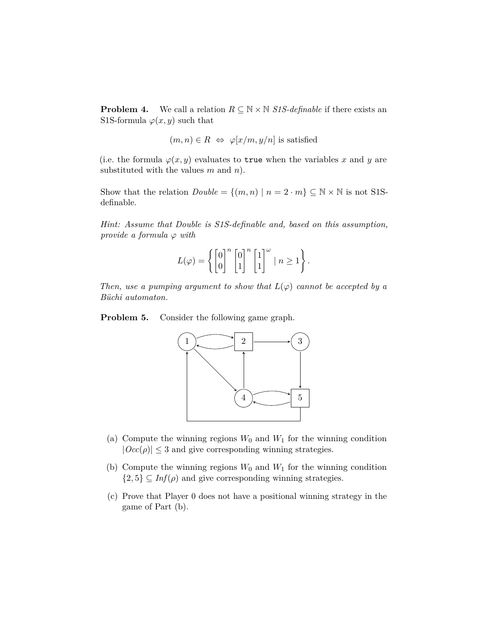**Problem 4.** We call a relation  $R \subseteq \mathbb{N} \times \mathbb{N}$  *S1S-definable* if there exists an S1S-formula  $\varphi(x, y)$  such that

$$
(m, n) \in R \iff \varphi[x/m, y/n]
$$
 is satisfied

(i.e. the formula  $\varphi(x, y)$  evaluates to true when the variables *x* and *y* are substituted with the values *m* and *n*).

Show that the relation  $Double = \{(m, n) | n = 2 \cdot m\} \subseteq \mathbb{N} \times \mathbb{N}$  is not S1Sdefinable.

*Hint: Assume that Double is S1S-definable and, based on this assumption, provide a formula*  $\varphi$  *with* 

$$
L(\varphi) = \left\{ \begin{bmatrix} 0 \\ 0 \end{bmatrix}^n \begin{bmatrix} 0 \\ 1 \end{bmatrix}^n \begin{bmatrix} 1 \\ 1 \end{bmatrix}^\omega \mid n \ge 1 \right\}.
$$

*Then, use a pumping argument to show that*  $L(\varphi)$  *cannot be accepted by a Büchi automaton.*

**Problem 5.** Consider the following game graph.



- (a) Compute the winning regions  $W_0$  and  $W_1$  for the winning condition  $|Occ(\rho)| \leq 3$  and give corresponding winning strategies.
- (b) Compute the winning regions  $W_0$  and  $W_1$  for the winning condition  $\{2, 5\} \subseteq \text{Inf}(\rho)$  and give corresponding winning strategies.
- (c) Prove that Player 0 does not have a positional winning strategy in the game of Part (b).